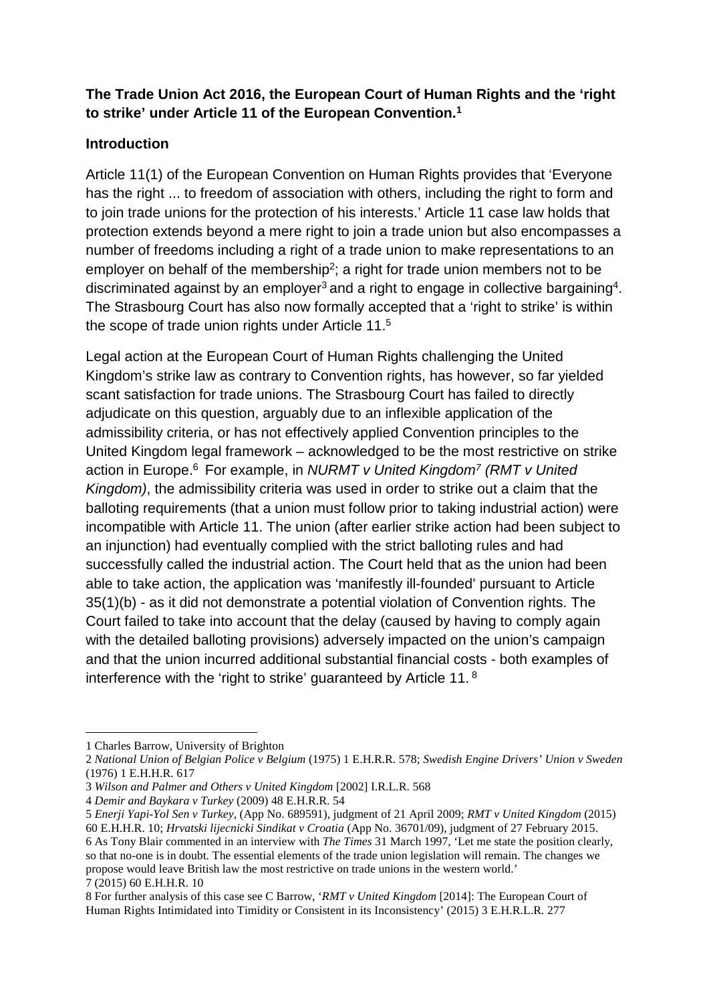# **The Trade Union Act 2016, the European Court of Human Rights and the 'right to strike' under Article 11 of the European Convention. 1**

### **Introduction**

Article 11(1) of the European Convention on Human Rights provides that 'Everyone has the right ... to freedom of association with others, including the right to form and to join trade unions for the protection of his interests.' Article 11 case law holds that protection extends beyond a mere right to join a trade union but also encompasses a number of freedoms including a right of a trade union to make representations to an employer on behalf of the membership<sup>2</sup>; a right for trade union members not to be discriminated against by an employer<sup>3</sup> and a right to engage in collective bargaining<sup>4</sup>. The Strasbourg Court has also now formally accepted that a 'right to strike' is within the scope of trade union rights under Article 11.5

Legal action at the European Court of Human Rights challenging the United Kingdom's strike law as contrary to Convention rights, has however, so far yielded scant satisfaction for trade unions. The Strasbourg Court has failed to directly adjudicate on this question, arguably due to an inflexible application of the admissibility criteria, or has not effectively applied Convention principles to the United Kingdom legal framework – acknowledged to be the most restrictive on strike action in Europe. <sup>6</sup> For example, in *NURMT v United Kingdom7 (RMT v United Kingdom)*, the admissibility criteria was used in order to strike out a claim that the balloting requirements (that a union must follow prior to taking industrial action) were incompatible with Article 11. The union (after earlier strike action had been subject to an injunction) had eventually complied with the strict balloting rules and had successfully called the industrial action. The Court held that as the union had been able to take action, the application was 'manifestly ill-founded' pursuant to Article 35(1)(b) - as it did not demonstrate a potential violation of Convention rights. The Court failed to take into account that the delay (caused by having to comply again with the detailed balloting provisions) adversely impacted on the union's campaign and that the union incurred additional substantial financial costs - both examples of interference with the 'right to strike' guaranteed by Article 11.<sup>8</sup>

<sup>1</sup> Charles Barrow, University of Brighton

<sup>2</sup> *National Union of Belgian Police v Belgium* (1975) 1 E.H.R.R. 578; *Swedish Engine Drivers' Union v Sweden* (1976) 1 E.H.H.R. 617

<sup>3</sup> *Wilson and Palmer and Others v United Kingdom* [2002] I.R.L.R. 568

<sup>4</sup> *Demir and Baykara v Turkey* (2009) 48 E.H.R.R. 54

<sup>5</sup> *Enerji Yapi-Yol Sen v Turkey*, (App No. 689591), judgment of 21 April 2009; *RMT v United Kingdom* (2015) 60 E.H.H.R. 10; *Hrvatski lijecnicki Sindikat v Croatia* (App No. 36701/09), judgment of 27 February 2015. 6 As Tony Blair commented in an interview with *The Times* 31 March 1997, 'Let me state the position clearly, so that no-one is in doubt. The essential elements of the trade union legislation will remain. The changes we propose would leave British law the most restrictive on trade unions in the western world.' 7 (2015) 60 E.H.H.R. 10

<sup>8</sup> For further analysis of this case see C Barrow, '*RMT v United Kingdom* [2014]: The European Court of Human Rights Intimidated into Timidity or Consistent in its Inconsistency' (2015) 3 E.H.R.L.R. 277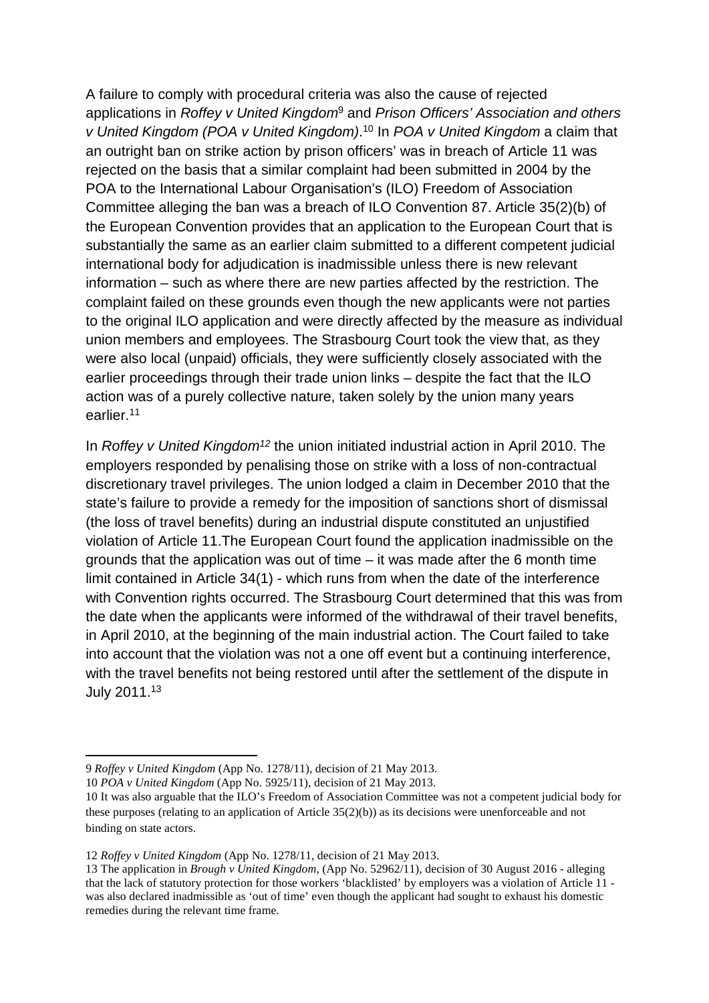A failure to comply with procedural criteria was also the cause of rejected applications in *Roffey v United Kingdom*<sup>9</sup> and *Prison Officers' Association and others v United Kingdom (POA v United Kingdom)*. <sup>10</sup> In *POA v United Kingdom* a claim that an outright ban on strike action by prison officers' was in breach of Article 11 was rejected on the basis that a similar complaint had been submitted in 2004 by the POA to the International Labour Organisation's (ILO) Freedom of Association Committee alleging the ban was a breach of ILO Convention 87. Article 35(2)(b) of the European Convention provides that an application to the European Court that is substantially the same as an earlier claim submitted to a different competent judicial international body for adjudication is inadmissible unless there is new relevant information – such as where there are new parties affected by the restriction. The complaint failed on these grounds even though the new applicants were not parties to the original ILO application and were directly affected by the measure as individual union members and employees. The Strasbourg Court took the view that, as they were also local (unpaid) officials, they were sufficiently closely associated with the earlier proceedings through their trade union links – despite the fact that the ILO action was of a purely collective nature, taken solely by the union many years earlier.11

In *Roffey v United Kingdom12* the union initiated industrial action in April 2010. The employers responded by penalising those on strike with a loss of non-contractual discretionary travel privileges. The union lodged a claim in December 2010 that the state's failure to provide a remedy for the imposition of sanctions short of dismissal (the loss of travel benefits) during an industrial dispute constituted an unjustified violation of Article 11.The European Court found the application inadmissible on the grounds that the application was out of time – it was made after the 6 month time limit contained in Article 34(1) - which runs from when the date of the interference with Convention rights occurred. The Strasbourg Court determined that this was from the date when the applicants were informed of the withdrawal of their travel benefits, in April 2010, at the beginning of the main industrial action. The Court failed to take into account that the violation was not a one off event but a continuing interference, with the travel benefits not being restored until after the settlement of the dispute in July 2011. 13

 $\overline{\phantom{a}}$ 9 *Roffey v United Kingdom* (App No. 1278/11), decision of 21 May 2013.

<sup>10</sup> *POA v United Kingdom* (App No. 5925/11), decision of 21 May 2013.

<sup>10</sup> It was also arguable that the ILO's Freedom of Association Committee was not a competent judicial body for these purposes (relating to an application of Article  $35(2)(b)$ ) as its decisions were unenforceable and not binding on state actors.

<sup>12</sup> *Roffey v United Kingdom* (App No. 1278/11, decision of 21 May 2013.

<sup>13</sup> The application in *Brough v United Kingdom*, (App No. 52962/11), decision of 30 August 2016 - alleging that the lack of statutory protection for those workers 'blacklisted' by employers was a violation of Article 11 was also declared inadmissible as 'out of time' even though the applicant had sought to exhaust his domestic remedies during the relevant time frame.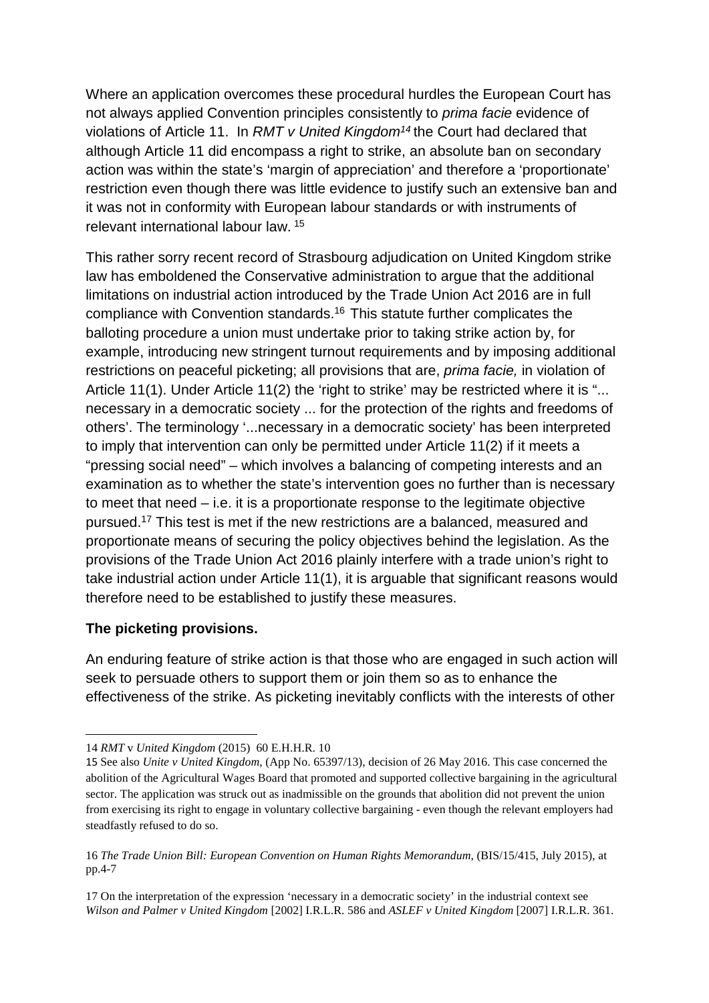Where an application overcomes these procedural hurdles the European Court has not always applied Convention principles consistently to *prima facie* evidence of violations of Article 11. In *RMT v United Kingdom14* the Court had declared that although Article 11 did encompass a right to strike, an absolute ban on secondary action was within the state's 'margin of appreciation' and therefore a 'proportionate' restriction even though there was little evidence to justify such an extensive ban and it was not in conformity with European labour standards or with instruments of relevant international labour law. <sup>15</sup>

This rather sorry recent record of Strasbourg adjudication on United Kingdom strike law has emboldened the Conservative administration to argue that the additional limitations on industrial action introduced by the Trade Union Act 2016 are in full compliance with Convention standards. <sup>16</sup> This statute further complicates the balloting procedure a union must undertake prior to taking strike action by, for example, introducing new stringent turnout requirements and by imposing additional restrictions on peaceful picketing; all provisions that are, *prima facie,* in violation of Article 11(1). Under Article 11(2) the 'right to strike' may be restricted where it is "... necessary in a democratic society ... for the protection of the rights and freedoms of others'. The terminology '...necessary in a democratic society' has been interpreted to imply that intervention can only be permitted under Article 11(2) if it meets a "pressing social need" – which involves a balancing of competing interests and an examination as to whether the state's intervention goes no further than is necessary to meet that need – i.e. it is a proportionate response to the legitimate objective pursued.17 This test is met if the new restrictions are a balanced, measured and proportionate means of securing the policy objectives behind the legislation. As the provisions of the Trade Union Act 2016 plainly interfere with a trade union's right to take industrial action under Article 11(1), it is arguable that significant reasons would therefore need to be established to justify these measures.

#### **The picketing provisions.**

1

An enduring feature of strike action is that those who are engaged in such action will seek to persuade others to support them or join them so as to enhance the effectiveness of the strike. As picketing inevitably conflicts with the interests of other

<sup>14</sup> *RMT* v *United Kingdom* (2015) 60 E.H.H.R. 10

<sup>15</sup> See also *Unite v United Kingdom*, (App No. 65397/13), decision of 26 May 2016. This case concerned the abolition of the Agricultural Wages Board that promoted and supported collective bargaining in the agricultural sector. The application was struck out as inadmissible on the grounds that abolition did not prevent the union from exercising its right to engage in voluntary collective bargaining - even though the relevant employers had steadfastly refused to do so.

<sup>16</sup> *The Trade Union Bill: European Convention on Human Rights Memorandum*, (BIS/15/415, July 2015), at pp.4-7

<sup>17</sup> On the interpretation of the expression 'necessary in a democratic society' in the industrial context see *Wilson and Palmer v United Kingdom* [2002] I.R.L.R. 586 and *ASLEF v United Kingdom* [2007] I.R.L.R. 361.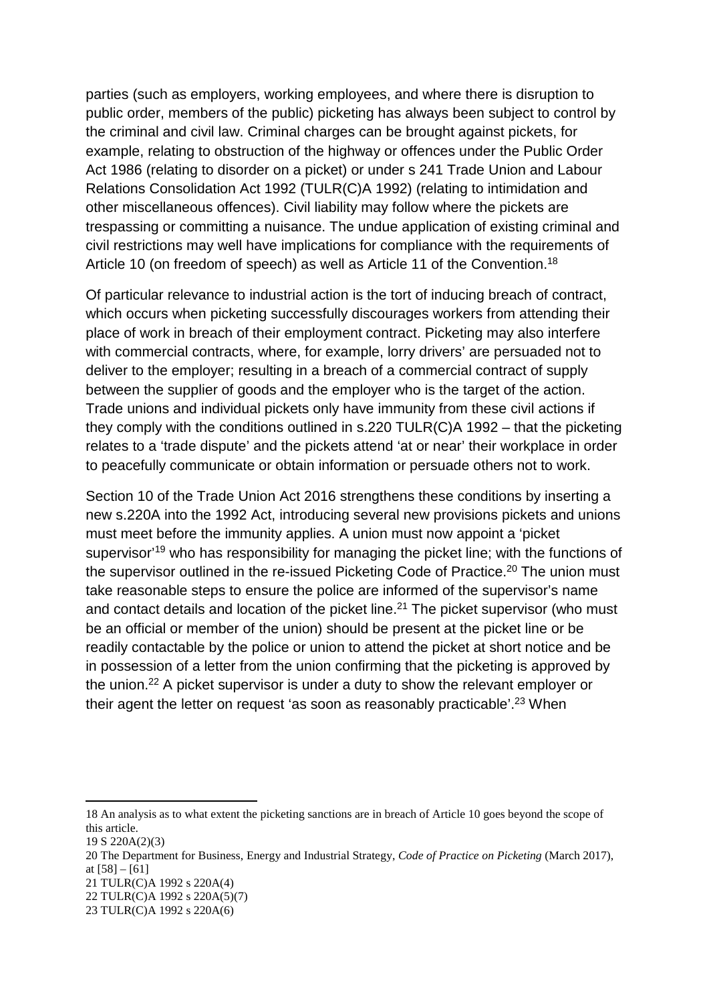parties (such as employers, working employees, and where there is disruption to public order, members of the public) picketing has always been subject to control by the criminal and civil law. Criminal charges can be brought against pickets, for example, relating to obstruction of the highway or offences under the Public Order Act 1986 (relating to disorder on a picket) or under s 241 Trade Union and Labour Relations Consolidation Act 1992 (TULR(C)A 1992) (relating to intimidation and other miscellaneous offences). Civil liability may follow where the pickets are trespassing or committing a nuisance. The undue application of existing criminal and civil restrictions may well have implications for compliance with the requirements of Article 10 (on freedom of speech) as well as Article 11 of the Convention.<sup>18</sup>

Of particular relevance to industrial action is the tort of inducing breach of contract, which occurs when picketing successfully discourages workers from attending their place of work in breach of their employment contract. Picketing may also interfere with commercial contracts, where, for example, lorry drivers' are persuaded not to deliver to the employer; resulting in a breach of a commercial contract of supply between the supplier of goods and the employer who is the target of the action. Trade unions and individual pickets only have immunity from these civil actions if they comply with the conditions outlined in s.220 TULR(C)A 1992 – that the picketing relates to a 'trade dispute' and the pickets attend 'at or near' their workplace in order to peacefully communicate or obtain information or persuade others not to work.

Section 10 of the Trade Union Act 2016 strengthens these conditions by inserting a new s.220A into the 1992 Act, introducing several new provisions pickets and unions must meet before the immunity applies. A union must now appoint a 'picket supervisor<sup>'19</sup> who has responsibility for managing the picket line; with the functions of the supervisor outlined in the re-issued Picketing Code of Practice. <sup>20</sup> The union must take reasonable steps to ensure the police are informed of the supervisor's name and contact details and location of the picket line.<sup>21</sup> The picket supervisor (who must be an official or member of the union) should be present at the picket line or be readily contactable by the police or union to attend the picket at short notice and be in possession of a letter from the union confirming that the picketing is approved by the union.22 A picket supervisor is under a duty to show the relevant employer or their agent the letter on request 'as soon as reasonably practicable'.<sup>23</sup> When

 $\overline{\phantom{a}}$ 

<sup>18</sup> An analysis as to what extent the picketing sanctions are in breach of Article 10 goes beyond the scope of this article.

<sup>19</sup> S 220A(2)(3)

<sup>20</sup> The Department for Business, Energy and Industrial Strategy, *Code of Practice on Picketing* (March 2017), at  $[58] - [61]$ 

<sup>21</sup> TULR(C)A 1992 s 220A(4)

<sup>22</sup> TULR(C)A 1992 s 220A(5)(7)

<sup>23</sup> TULR(C)A 1992 s 220A(6)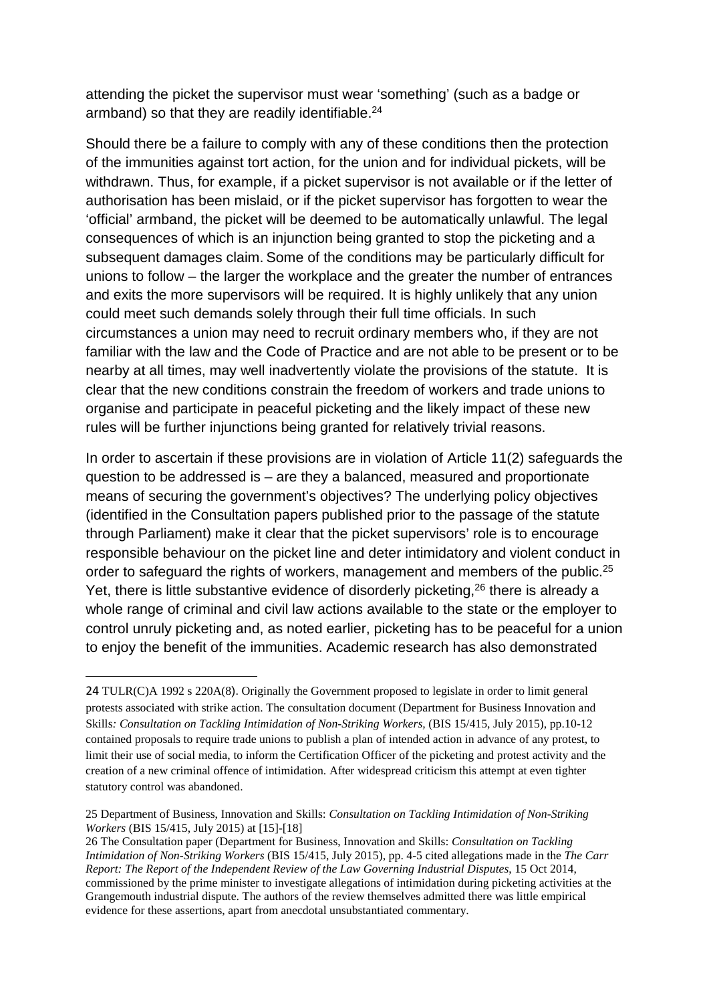attending the picket the supervisor must wear 'something' (such as a badge or armband) so that they are readily identifiable.<sup>24</sup>

Should there be a failure to comply with any of these conditions then the protection of the immunities against tort action, for the union and for individual pickets, will be withdrawn. Thus, for example, if a picket supervisor is not available or if the letter of authorisation has been mislaid, or if the picket supervisor has forgotten to wear the 'official' armband, the picket will be deemed to be automatically unlawful. The legal consequences of which is an injunction being granted to stop the picketing and a subsequent damages claim. Some of the conditions may be particularly difficult for unions to follow – the larger the workplace and the greater the number of entrances and exits the more supervisors will be required. It is highly unlikely that any union could meet such demands solely through their full time officials. In such circumstances a union may need to recruit ordinary members who, if they are not familiar with the law and the Code of Practice and are not able to be present or to be nearby at all times, may well inadvertently violate the provisions of the statute. It is clear that the new conditions constrain the freedom of workers and trade unions to organise and participate in peaceful picketing and the likely impact of these new rules will be further injunctions being granted for relatively trivial reasons.

In order to ascertain if these provisions are in violation of Article 11(2) safeguards the question to be addressed is – are they a balanced, measured and proportionate means of securing the government's objectives? The underlying policy objectives (identified in the Consultation papers published prior to the passage of the statute through Parliament) make it clear that the picket supervisors' role is to encourage responsible behaviour on the picket line and deter intimidatory and violent conduct in order to safeguard the rights of workers, management and members of the public.<sup>25</sup> Yet, there is little substantive evidence of disorderly picketing,<sup>26</sup> there is already a whole range of criminal and civil law actions available to the state or the employer to control unruly picketing and, as noted earlier, picketing has to be peaceful for a union to enjoy the benefit of the immunities. Academic research has also demonstrated

<sup>24</sup> TULR(C)A 1992 s 220A(8). Originally the Government proposed to legislate in order to limit general protests associated with strike action. The consultation document (Department for Business Innovation and Skills*: Consultation on Tackling Intimidation of Non-Striking Workers,* (BIS 15/415, July 2015), pp.10-12 contained proposals to require trade unions to publish a plan of intended action in advance of any protest, to limit their use of social media, to inform the Certification Officer of the picketing and protest activity and the creation of a new criminal offence of intimidation. After widespread criticism this attempt at even tighter statutory control was abandoned.

<sup>25</sup> Department of Business, Innovation and Skills: *Consultation on Tackling Intimidation of Non-Striking Workers* (BIS 15/415, July 2015) at [15]-[18]

<sup>26</sup> The Consultation paper (Department for Business, Innovation and Skills: *Consultation on Tackling Intimidation of Non-Striking Workers* (BIS 15/415, July 2015), pp. 4-5 cited allegations made in the *The Carr Report: The Report of the Independent Review of the Law Governing Industrial Disputes*, 15 Oct 2014, commissioned by the prime minister to investigate allegations of intimidation during picketing activities at the Grangemouth industrial dispute. The authors of the review themselves admitted there was little empirical evidence for these assertions, apart from anecdotal unsubstantiated commentary.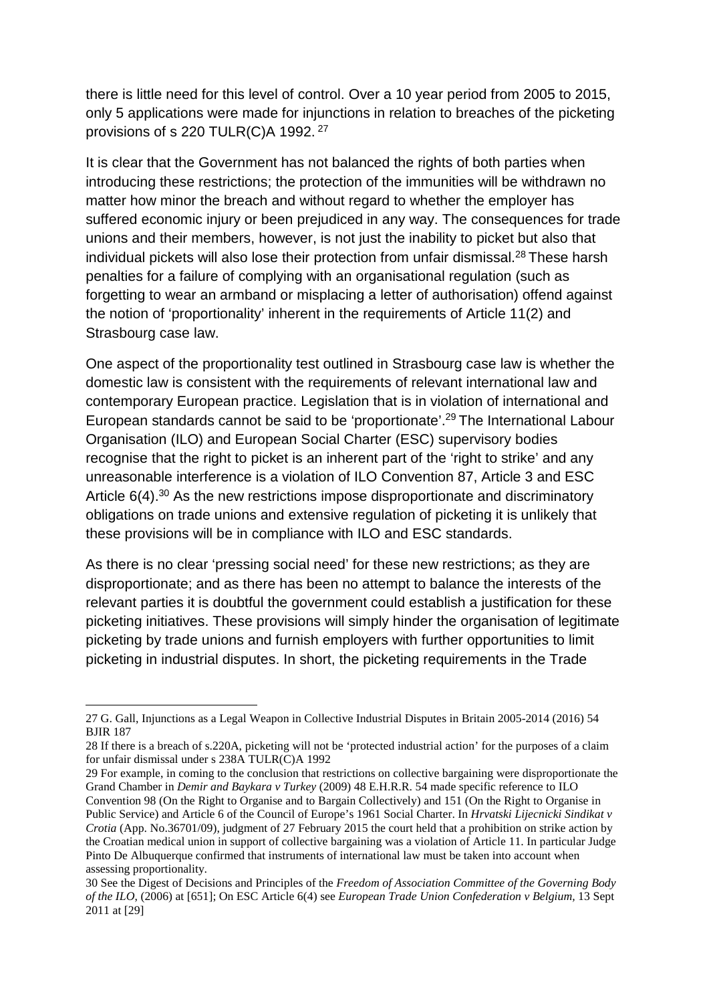there is little need for this level of control. Over a 10 year period from 2005 to 2015, only 5 applications were made for injunctions in relation to breaches of the picketing provisions of s 220 TULR(C)A 1992.<sup>27</sup>

It is clear that the Government has not balanced the rights of both parties when introducing these restrictions; the protection of the immunities will be withdrawn no matter how minor the breach and without regard to whether the employer has suffered economic injury or been prejudiced in any way. The consequences for trade unions and their members, however, is not just the inability to picket but also that individual pickets will also lose their protection from unfair dismissal.<sup>28</sup> These harsh penalties for a failure of complying with an organisational regulation (such as forgetting to wear an armband or misplacing a letter of authorisation) offend against the notion of 'proportionality' inherent in the requirements of Article 11(2) and Strasbourg case law.

One aspect of the proportionality test outlined in Strasbourg case law is whether the domestic law is consistent with the requirements of relevant international law and contemporary European practice. Legislation that is in violation of international and European standards cannot be said to be 'proportionate'. <sup>29</sup> The International Labour Organisation (ILO) and European Social Charter (ESC) supervisory bodies recognise that the right to picket is an inherent part of the 'right to strike' and any unreasonable interference is a violation of ILO Convention 87, Article 3 and ESC Article 6(4).<sup>30</sup> As the new restrictions impose disproportionate and discriminatory obligations on trade unions and extensive regulation of picketing it is unlikely that these provisions will be in compliance with ILO and ESC standards.

As there is no clear 'pressing social need' for these new restrictions; as they are disproportionate; and as there has been no attempt to balance the interests of the relevant parties it is doubtful the government could establish a justification for these picketing initiatives. These provisions will simply hinder the organisation of legitimate picketing by trade unions and furnish employers with further opportunities to limit picketing in industrial disputes. In short, the picketing requirements in the Trade

29 For example, in coming to the conclusion that restrictions on collective bargaining were disproportionate the Grand Chamber in *Demir and Baykara v Turkey* (2009) 48 E.H.R.R. 54 made specific reference to ILO Convention 98 (On the Right to Organise and to Bargain Collectively) and 151 (On the Right to Organise in

Public Service) and Article 6 of the Council of Europe's 1961 Social Charter. In *Hrvatski Lijecnicki Sindikat v Crotia* (App. No.36701/09), judgment of 27 February 2015 the court held that a prohibition on strike action by the Croatian medical union in support of collective bargaining was a violation of Article 11. In particular Judge Pinto De Albuquerque confirmed that instruments of international law must be taken into account when assessing proportionality.

**<sup>.</sup>** 27 G. Gall, Injunctions as a Legal Weapon in Collective Industrial Disputes in Britain 2005-2014 (2016) 54 BJIR 187

<sup>28</sup> If there is a breach of s.220A, picketing will not be 'protected industrial action' for the purposes of a claim for unfair dismissal under s 238A TULR(C)A 1992

<sup>30</sup> See the Digest of Decisions and Principles of the *Freedom of Association Committee of the Governing Body of the ILO*, (2006) at [651]; On ESC Article 6(4) see *European Trade Union Confederation v Belgium,* 13 Sept 2011 at [29]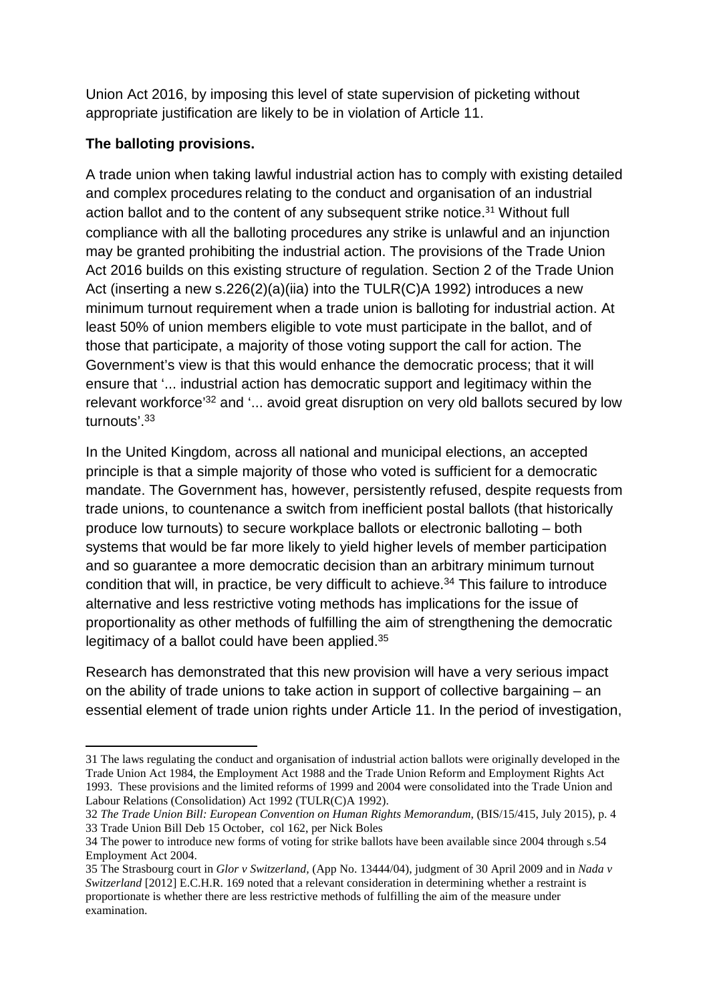Union Act 2016, by imposing this level of state supervision of picketing without appropriate justification are likely to be in violation of Article 11.

# **The balloting provisions.**

**.** 

A trade union when taking lawful industrial action has to comply with existing detailed and complex procedures relating to the conduct and organisation of an industrial action ballot and to the content of any subsequent strike notice.<sup>31</sup> Without full compliance with all the balloting procedures any strike is unlawful and an injunction may be granted prohibiting the industrial action. The provisions of the Trade Union Act 2016 builds on this existing structure of regulation. Section 2 of the Trade Union Act (inserting a new s.226(2)(a)(iia) into the TULR(C)A 1992) introduces a new minimum turnout requirement when a trade union is balloting for industrial action. At least 50% of union members eligible to vote must participate in the ballot, and of those that participate, a majority of those voting support the call for action. The Government's view is that this would enhance the democratic process; that it will ensure that '... industrial action has democratic support and legitimacy within the relevant workforce<sup>'32</sup> and '... avoid great disruption on very old ballots secured by low turnouts'.33

In the United Kingdom, across all national and municipal elections, an accepted principle is that a simple majority of those who voted is sufficient for a democratic mandate. The Government has, however, persistently refused, despite requests from trade unions, to countenance a switch from inefficient postal ballots (that historically produce low turnouts) to secure workplace ballots or electronic balloting – both systems that would be far more likely to yield higher levels of member participation and so guarantee a more democratic decision than an arbitrary minimum turnout condition that will, in practice, be very difficult to achieve. <sup>34</sup> This failure to introduce alternative and less restrictive voting methods has implications for the issue of proportionality as other methods of fulfilling the aim of strengthening the democratic legitimacy of a ballot could have been applied.<sup>35</sup>

Research has demonstrated that this new provision will have a very serious impact on the ability of trade unions to take action in support of collective bargaining – an essential element of trade union rights under Article 11. In the period of investigation,

<sup>31</sup> The laws regulating the conduct and organisation of industrial action ballots were originally developed in the Trade Union Act 1984, the Employment Act 1988 and the Trade Union Reform and Employment Rights Act 1993. These provisions and the limited reforms of 1999 and 2004 were consolidated into the Trade Union and Labour Relations (Consolidation) Act 1992 (TULR(C)A 1992).

<sup>32</sup> *The Trade Union Bill: European Convention on Human Rights Memorandum*, (BIS/15/415, July 2015), p. 4 33 Trade Union Bill Deb 15 October, col 162, per Nick Boles

<sup>34</sup> The power to introduce new forms of voting for strike ballots have been available since 2004 through s.54 Employment Act 2004.

<sup>35</sup> The Strasbourg court in *Glor v Switzerland,* (App No. 13444/04), judgment of 30 April 2009 and in *Nada v Switzerland* [2012] E.C.H.R. 169 noted that a relevant consideration in determining whether a restraint is proportionate is whether there are less restrictive methods of fulfilling the aim of the measure under examination.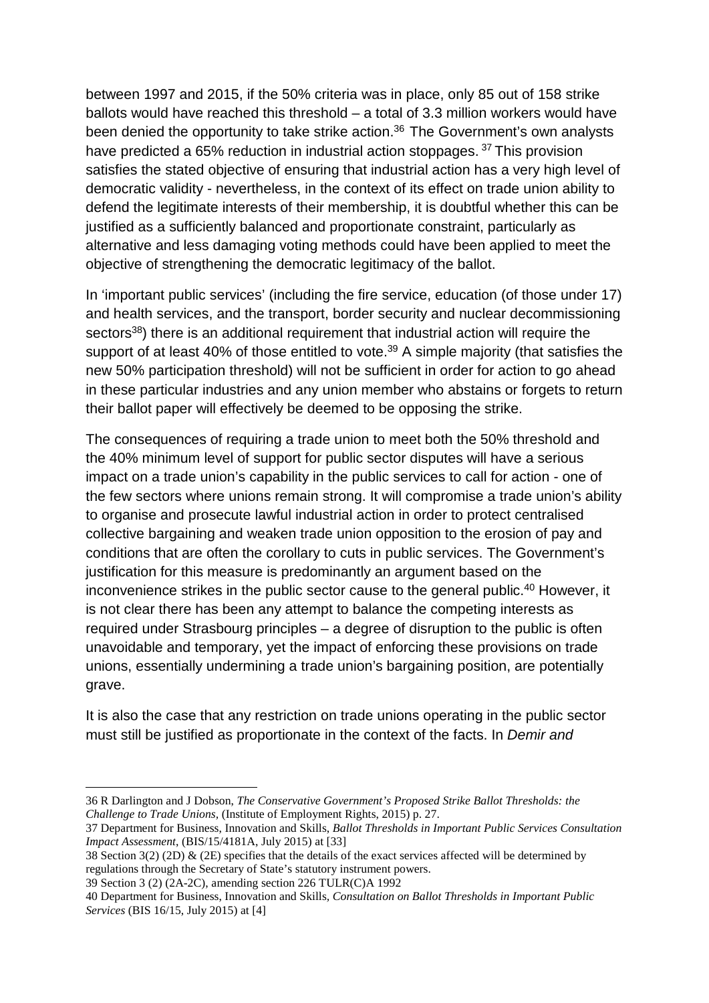between 1997 and 2015, if the 50% criteria was in place, only 85 out of 158 strike ballots would have reached this threshold – a total of 3.3 million workers would have been denied the opportunity to take strike action.<sup>36</sup> The Government's own analysts have predicted a 65% reduction in industrial action stoppages.<sup>37</sup> This provision satisfies the stated objective of ensuring that industrial action has a very high level of democratic validity - nevertheless, in the context of its effect on trade union ability to defend the legitimate interests of their membership, it is doubtful whether this can be justified as a sufficiently balanced and proportionate constraint, particularly as alternative and less damaging voting methods could have been applied to meet the objective of strengthening the democratic legitimacy of the ballot.

In 'important public services' (including the fire service, education (of those under 17) and health services, and the transport, border security and nuclear decommissioning sectors<sup>38</sup>) there is an additional requirement that industrial action will require the support of at least 40% of those entitled to vote.<sup>39</sup> A simple majority (that satisfies the new 50% participation threshold) will not be sufficient in order for action to go ahead in these particular industries and any union member who abstains or forgets to return their ballot paper will effectively be deemed to be opposing the strike.

The consequences of requiring a trade union to meet both the 50% threshold and the 40% minimum level of support for public sector disputes will have a serious impact on a trade union's capability in the public services to call for action - one of the few sectors where unions remain strong. It will compromise a trade union's ability to organise and prosecute lawful industrial action in order to protect centralised collective bargaining and weaken trade union opposition to the erosion of pay and conditions that are often the corollary to cuts in public services. The Government's justification for this measure is predominantly an argument based on the inconvenience strikes in the public sector cause to the general public. <sup>40</sup> However, it is not clear there has been any attempt to balance the competing interests as required under Strasbourg principles – a degree of disruption to the public is often unavoidable and temporary, yet the impact of enforcing these provisions on trade unions, essentially undermining a trade union's bargaining position, are potentially grave.

It is also the case that any restriction on trade unions operating in the public sector must still be justified as proportionate in the context of the facts. In *Demir and* 

<sup>36</sup> R Darlington and J Dobson, *The Conservative Government's Proposed Strike Ballot Thresholds: the Challenge to Trade Unions,* (Institute of Employment Rights, 2015) p. 27.

<sup>37</sup> Department for Business, Innovation and Skills, *Ballot Thresholds in Important Public Services Consultation Impact Assessment*, (BIS/15/4181A, July 2015) at [33]

<sup>38</sup> Section 3(2) (2D) & (2E) specifies that the details of the exact services affected will be determined by regulations through the Secretary of State's statutory instrument powers.

<sup>39</sup> Section 3 (2) (2A-2C), amending section 226 TULR(C)A 1992

<sup>40</sup> Department for Business, Innovation and Skills*, Consultation on Ballot Thresholds in Important Public Services* (BIS 16/15, July 2015) at [4]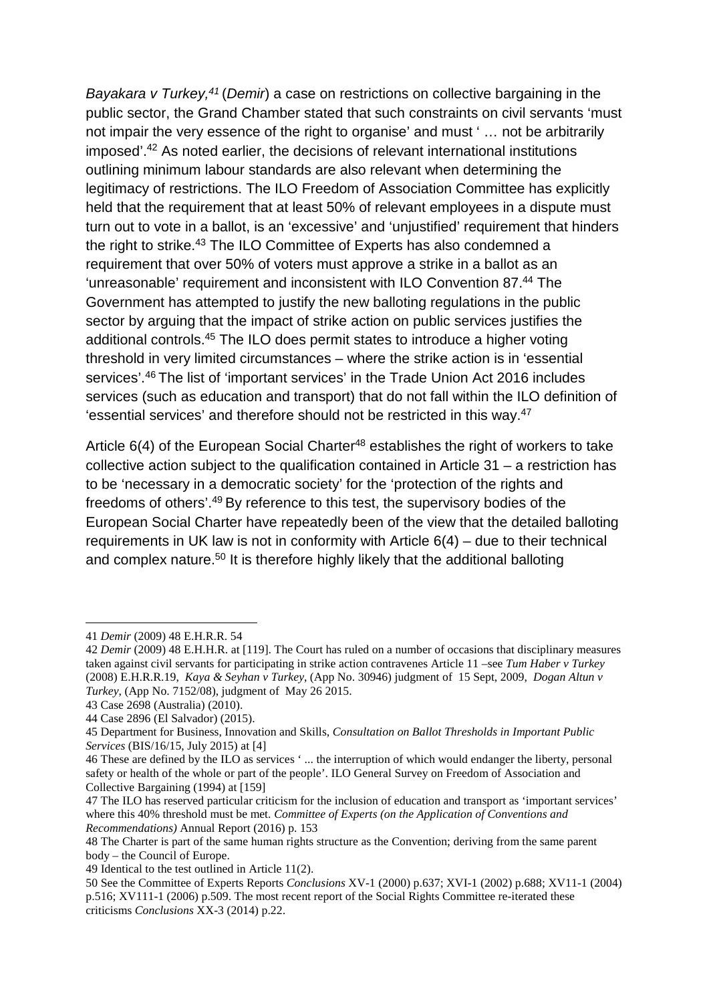*Bayakara v Turkey, <sup>41</sup>* (*Demir*) a case on restrictions on collective bargaining in the public sector, the Grand Chamber stated that such constraints on civil servants 'must not impair the very essence of the right to organise' and must ' … not be arbitrarily imposed'.42 As noted earlier, the decisions of relevant international institutions outlining minimum labour standards are also relevant when determining the legitimacy of restrictions. The ILO Freedom of Association Committee has explicitly held that the requirement that at least 50% of relevant employees in a dispute must turn out to vote in a ballot, is an 'excessive' and 'unjustified' requirement that hinders the right to strike.<sup>43</sup> The ILO Committee of Experts has also condemned a requirement that over 50% of voters must approve a strike in a ballot as an 'unreasonable' requirement and inconsistent with ILO Convention 87.44 The Government has attempted to justify the new balloting regulations in the public sector by arguing that the impact of strike action on public services justifies the additional controls.45 The ILO does permit states to introduce a higher voting threshold in very limited circumstances – where the strike action is in 'essential services'.46 The list of 'important services' in the Trade Union Act 2016 includes services (such as education and transport) that do not fall within the ILO definition of 'essential services' and therefore should not be restricted in this way.47

Article  $6(4)$  of the European Social Charter<sup>48</sup> establishes the right of workers to take collective action subject to the qualification contained in Article 31 – a restriction has to be 'necessary in a democratic society' for the 'protection of the rights and freedoms of others'.49 By reference to this test, the supervisory bodies of the European Social Charter have repeatedly been of the view that the detailed balloting requirements in UK law is not in conformity with Article 6(4) – due to their technical and complex nature.<sup>50</sup> It is therefore highly likely that the additional balloting

<sup>41</sup> *Demir* (2009) 48 E.H.R.R. 54

<sup>42</sup> *Demir* (2009) 48 E.H.H.R. at [119]. The Court has ruled on a number of occasions that disciplinary measures taken against civil servants for participating in strike action contravenes Article 11 –see *Tum Haber v Turkey* (2008) E.H.R.R.19, *Kaya & Seyhan v Turkey*, (App No. 30946) judgment of 15 Sept, 2009, *Dogan Altun v Turkey*, (App No. 7152/08), judgment of May 26 2015.

<sup>43</sup> Case 2698 (Australia) (2010).

<sup>44</sup> Case 2896 (El Salvador) (2015).

<sup>45</sup> Department for Business, Innovation and Skills*, Consultation on Ballot Thresholds in Important Public Services* (BIS/16/15, July 2015) at [4]

<sup>46</sup> These are defined by the ILO as services ' ... the interruption of which would endanger the liberty, personal safety or health of the whole or part of the people'. ILO General Survey on Freedom of Association and Collective Bargaining (1994) at [159]

<sup>47</sup> The ILO has reserved particular criticism for the inclusion of education and transport as 'important services' where this 40% threshold must be met. *Committee of Experts (on the Application of Conventions and Recommendations)* Annual Report (2016) p. 153

<sup>48</sup> The Charter is part of the same human rights structure as the Convention; deriving from the same parent body – the Council of Europe.

<sup>49</sup> Identical to the test outlined in Article 11(2).

<sup>50</sup> See the Committee of Experts Reports *Conclusions* XV-1 (2000) p.637; XVI-1 (2002) p.688; XV11-1 (2004) p.516; XV111-1 (2006) p.509. The most recent report of the Social Rights Committee re-iterated these criticisms *Conclusions* XX-3 (2014) p.22.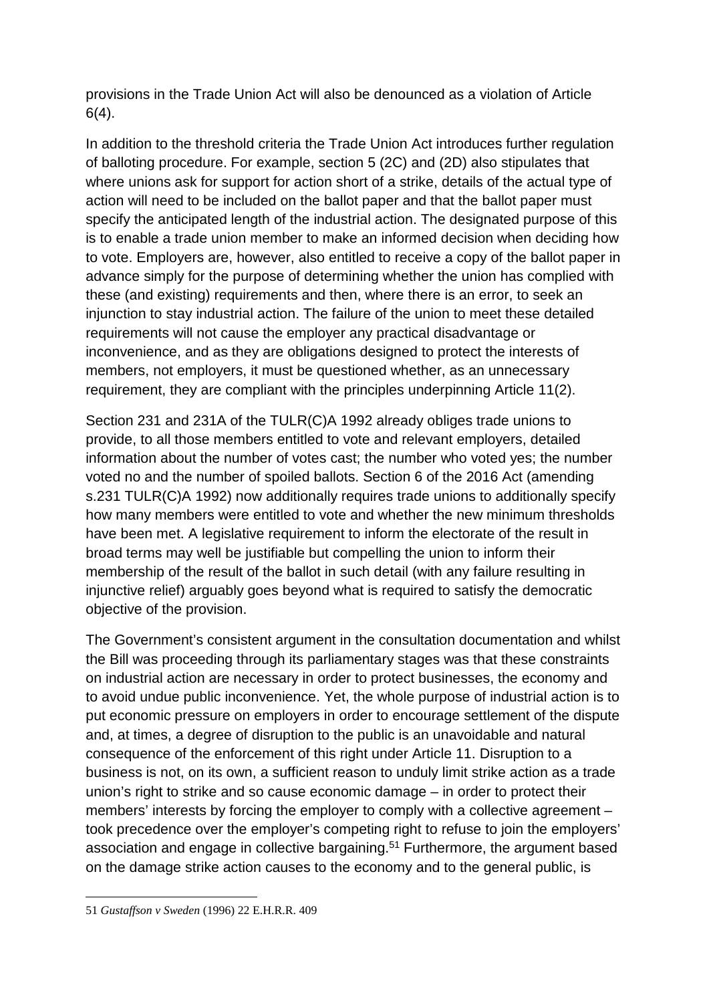provisions in the Trade Union Act will also be denounced as a violation of Article 6(4).

In addition to the threshold criteria the Trade Union Act introduces further regulation of balloting procedure. For example, section 5 (2C) and (2D) also stipulates that where unions ask for support for action short of a strike, details of the actual type of action will need to be included on the ballot paper and that the ballot paper must specify the anticipated length of the industrial action. The designated purpose of this is to enable a trade union member to make an informed decision when deciding how to vote. Employers are, however, also entitled to receive a copy of the ballot paper in advance simply for the purpose of determining whether the union has complied with these (and existing) requirements and then, where there is an error, to seek an injunction to stay industrial action. The failure of the union to meet these detailed requirements will not cause the employer any practical disadvantage or inconvenience, and as they are obligations designed to protect the interests of members, not employers, it must be questioned whether, as an unnecessary requirement, they are compliant with the principles underpinning Article 11(2).

Section 231 and 231A of the TULR(C)A 1992 already obliges trade unions to provide, to all those members entitled to vote and relevant employers, detailed information about the number of votes cast; the number who voted yes; the number voted no and the number of spoiled ballots. Section 6 of the 2016 Act (amending s.231 TULR(C)A 1992) now additionally requires trade unions to additionally specify how many members were entitled to vote and whether the new minimum thresholds have been met. A legislative requirement to inform the electorate of the result in broad terms may well be justifiable but compelling the union to inform their membership of the result of the ballot in such detail (with any failure resulting in injunctive relief) arguably goes beyond what is required to satisfy the democratic objective of the provision.

The Government's consistent argument in the consultation documentation and whilst the Bill was proceeding through its parliamentary stages was that these constraints on industrial action are necessary in order to protect businesses, the economy and to avoid undue public inconvenience. Yet, the whole purpose of industrial action is to put economic pressure on employers in order to encourage settlement of the dispute and, at times, a degree of disruption to the public is an unavoidable and natural consequence of the enforcement of this right under Article 11. Disruption to a business is not, on its own, a sufficient reason to unduly limit strike action as a trade union's right to strike and so cause economic damage – in order to protect their members' interests by forcing the employer to comply with a collective agreement – took precedence over the employer's competing right to refuse to join the employers' association and engage in collective bargaining.51 Furthermore, the argument based on the damage strike action causes to the economy and to the general public, is

1

<sup>51</sup> *Gustaffson v Sweden* (1996) 22 E.H.R.R. 409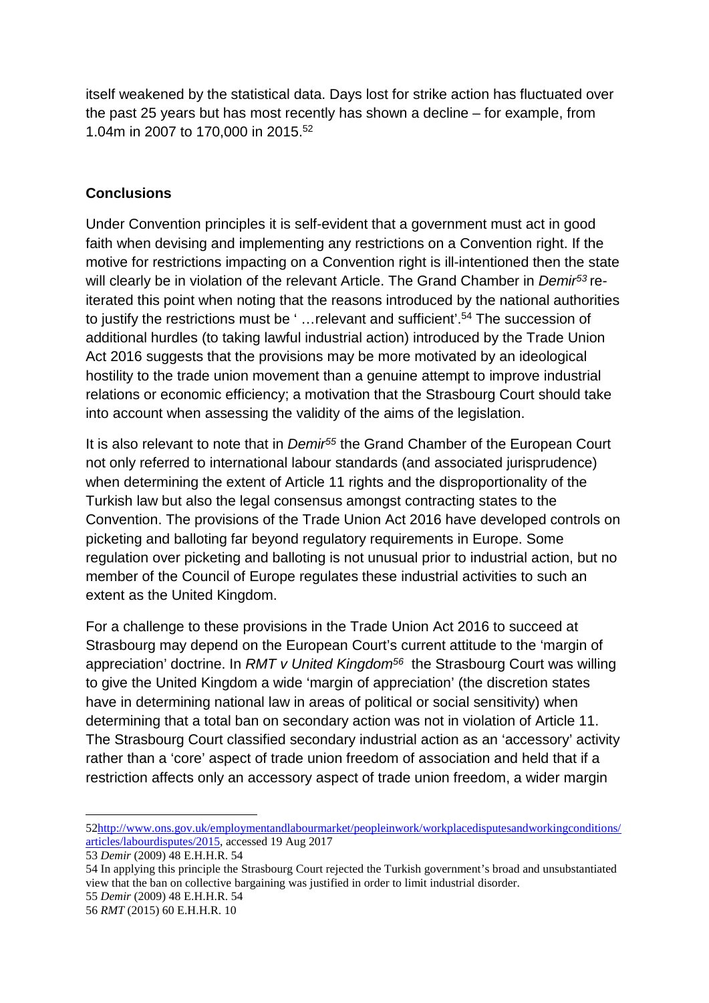itself weakened by the statistical data. Days lost for strike action has fluctuated over the past 25 years but has most recently has shown a decline – for example, from 1.04m in 2007 to 170,000 in 2015.52

#### **Conclusions**

Under Convention principles it is self-evident that a government must act in good faith when devising and implementing any restrictions on a Convention right. If the motive for restrictions impacting on a Convention right is ill-intentioned then the state will clearly be in violation of the relevant Article. The Grand Chamber in *Demir53* reiterated this point when noting that the reasons introduced by the national authorities to justify the restrictions must be ' …relevant and sufficient'.54 The succession of additional hurdles (to taking lawful industrial action) introduced by the Trade Union Act 2016 suggests that the provisions may be more motivated by an ideological hostility to the trade union movement than a genuine attempt to improve industrial relations or economic efficiency; a motivation that the Strasbourg Court should take into account when assessing the validity of the aims of the legislation.

It is also relevant to note that in *Demir55* the Grand Chamber of the European Court not only referred to international labour standards (and associated jurisprudence) when determining the extent of Article 11 rights and the disproportionality of the Turkish law but also the legal consensus amongst contracting states to the Convention. The provisions of the Trade Union Act 2016 have developed controls on picketing and balloting far beyond regulatory requirements in Europe. Some regulation over picketing and balloting is not unusual prior to industrial action, but no member of the Council of Europe regulates these industrial activities to such an extent as the United Kingdom.

For a challenge to these provisions in the Trade Union Act 2016 to succeed at Strasbourg may depend on the European Court's current attitude to the 'margin of appreciation' doctrine. In *RMT v United Kingdom56* the Strasbourg Court was willing to give the United Kingdom a wide 'margin of appreciation' (the discretion states have in determining national law in areas of political or social sensitivity) when determining that a total ban on secondary action was not in violation of Article 11. The Strasbourg Court classified secondary industrial action as an 'accessory' activity rather than a 'core' aspect of trade union freedom of association and held that if a restriction affects only an accessory aspect of trade union freedom, a wider margin

<sup>5</sup>[2http://www.ons.gov.uk/employmentandlabourmarket/peopleinwork/workplacedisputesandworkingconditions/](http://www.ons.gov.uk/employmentandlabourmarket/peopleinwork/workplacedisputesandworkingconditions/articles/labourdisputes/2015) [articles/labourdisputes/2015,](http://www.ons.gov.uk/employmentandlabourmarket/peopleinwork/workplacedisputesandworkingconditions/articles/labourdisputes/2015) accessed 19 Aug 2017

<sup>53</sup> *Demir* (2009) 48 E.H.H.R. 54

<sup>54</sup> In applying this principle the Strasbourg Court rejected the Turkish government's broad and unsubstantiated view that the ban on collective bargaining was justified in order to limit industrial disorder.

<sup>55</sup> *Demir* (2009) 48 E.H.H.R. 54

<sup>56</sup> *RMT* (2015) 60 E.H.H.R. 10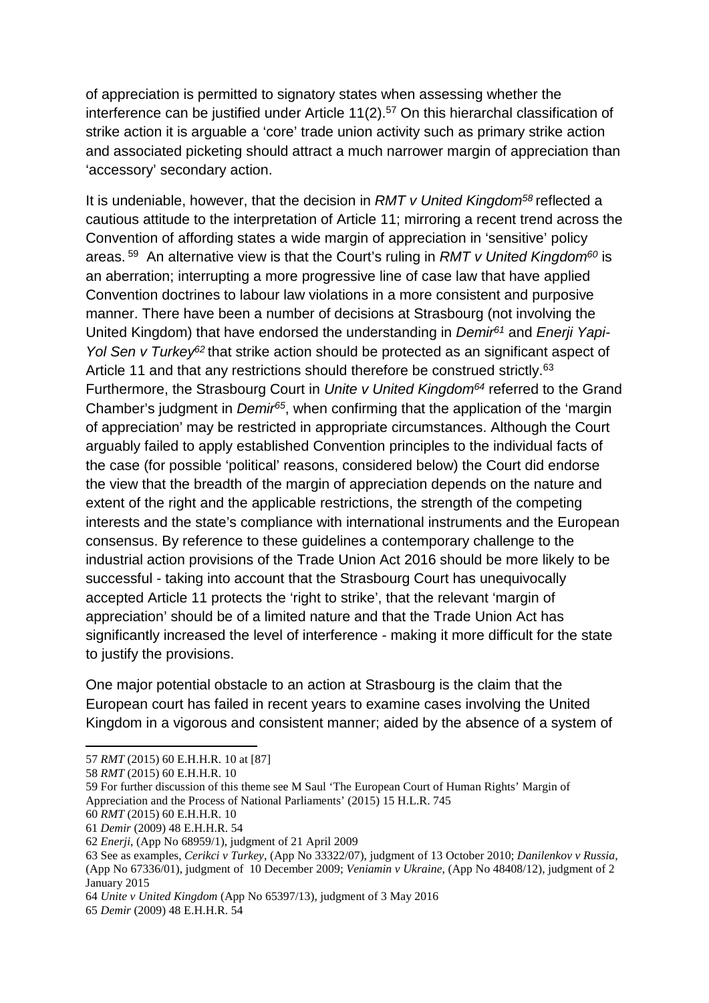of appreciation is permitted to signatory states when assessing whether the interference can be justified under Article 11(2).57 On this hierarchal classification of strike action it is arguable a 'core' trade union activity such as primary strike action and associated picketing should attract a much narrower margin of appreciation than 'accessory' secondary action.

It is undeniable, however, that the decision in *RMT v United Kingdom58* reflected a cautious attitude to the interpretation of Article 11; mirroring a recent trend across the Convention of affording states a wide margin of appreciation in 'sensitive' policy areas. <sup>59</sup> An alternative view is that the Court's ruling in *RMT v United Kingdom60* is an aberration; interrupting a more progressive line of case law that have applied Convention doctrines to labour law violations in a more consistent and purposive manner. There have been a number of decisions at Strasbourg (not involving the United Kingdom) that have endorsed the understanding in *Demir61* and *Enerji Yapi-Yol Sen v Turkey<sup>62</sup>* that strike action should be protected as an significant aspect of Article 11 and that any restrictions should therefore be construed strictly.<sup>63</sup> Furthermore, the Strasbourg Court in *Unite v United Kingdom64* referred to the Grand Chamber's judgment in *Demir65*, when confirming that the application of the 'margin of appreciation' may be restricted in appropriate circumstances. Although the Court arguably failed to apply established Convention principles to the individual facts of the case (for possible 'political' reasons, considered below) the Court did endorse the view that the breadth of the margin of appreciation depends on the nature and extent of the right and the applicable restrictions, the strength of the competing interests and the state's compliance with international instruments and the European consensus. By reference to these guidelines a contemporary challenge to the industrial action provisions of the Trade Union Act 2016 should be more likely to be successful - taking into account that the Strasbourg Court has unequivocally accepted Article 11 protects the 'right to strike', that the relevant 'margin of appreciation' should be of a limited nature and that the Trade Union Act has significantly increased the level of interference - making it more difficult for the state to justify the provisions.

One major potential obstacle to an action at Strasbourg is the claim that the European court has failed in recent years to examine cases involving the United Kingdom in a vigorous and consistent manner; aided by the absence of a system of

**.** 

59 For further discussion of this theme see M Saul 'The European Court of Human Rights' Margin of Appreciation and the Process of National Parliaments' (2015) 15 H.L.R. 745

<sup>57</sup> *RMT* (2015) 60 E.H.H.R. 10 at [87]

<sup>58</sup> *RMT* (2015) 60 E.H.H.R. 10

<sup>60</sup> *RMT* (2015) 60 E.H.H.R. 10

<sup>61</sup> *Demir* (2009) 48 E.H.H.R. 54

<sup>62</sup> *Enerji*, (App No 68959/1), judgment of 21 April 2009

<sup>63</sup> See as examples, *Cerikci v Turkey*, (App No 33322/07), judgment of 13 October 2010; *Danilenkov v Russia*, (App No 67336/01), judgment of 10 December 2009; *Veniamin v Ukraine*, (App No 48408/12), judgment of 2 January 2015

<sup>64</sup> *Unite v United Kingdom* (App No 65397/13), judgment of 3 May 2016

<sup>65</sup> *Demir* (2009) 48 E.H.H.R. 54